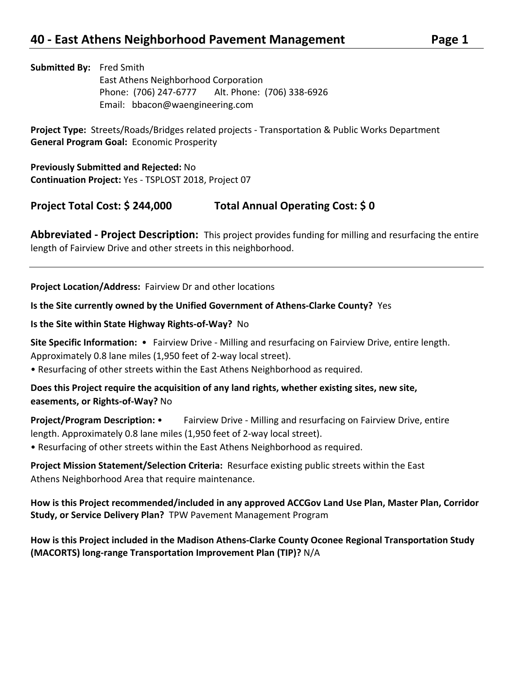**Submitted By:** Fred Smith East Athens Neighborhood Corporation Phone: (706) 247-6777 Alt. Phone: (706) 338-6926 Email: bbacon@waengineering.com

**Project Type:** Streets/Roads/Bridges related projects - Transportation & Public Works Department **General Program Goal:** Economic Prosperity

**Previously Submitted and Rejected:** No **Continuation Project:** Yes - TSPLOST 2018, Project 07

**Project Total Cost: \$ 244,000 Total Annual Operating Cost: \$ 0**

**Abbreviated - Project Description:** This project provides funding for milling and resurfacing the entire length of Fairview Drive and other streets in this neighborhood.

**Project Location/Address:** Fairview Dr and other locations

**Is the Site currently owned by the Unified Government of Athens-Clarke County?** Yes

**Is the Site within State Highway Rights-of-Way?** No

**Site Specific Information:** • Fairview Drive - Milling and resurfacing on Fairview Drive, entire length. Approximately 0.8 lane miles (1,950 feet of 2-way local street).

• Resurfacing of other streets within the East Athens Neighborhood as required.

**Does this Project require the acquisition of any land rights, whether existing sites, new site, easements, or Rights-of-Way?** No

**Project/Program Description:** • Fairview Drive - Milling and resurfacing on Fairview Drive, entire length. Approximately 0.8 lane miles (1,950 feet of 2-way local street).

• Resurfacing of other streets within the East Athens Neighborhood as required.

**Project Mission Statement/Selection Criteria:** Resurface existing public streets within the East Athens Neighborhood Area that require maintenance.

**How is this Project recommended/included in any approved ACCGov Land Use Plan, Master Plan, Corridor Study, or Service Delivery Plan?** TPW Pavement Management Program

**How is this Project included in the Madison Athens-Clarke County Oconee Regional Transportation Study (MACORTS) long-range Transportation Improvement Plan (TIP)?** N/A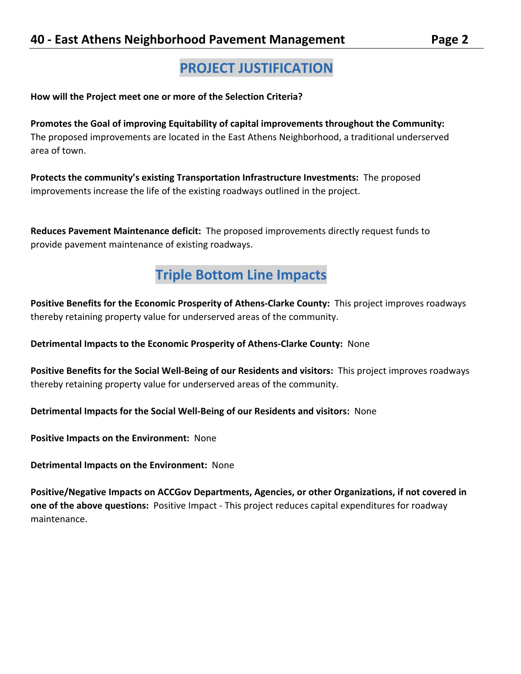# **PROJECT JUSTIFICATION**

**How will the Project meet one or more of the Selection Criteria?**

**Promotes the Goal of improving Equitability of capital improvements throughout the Community:**  The proposed improvements are located in the East Athens Neighborhood, a traditional underserved area of town.

**Protects the community's existing Transportation Infrastructure Investments:** The proposed improvements increase the life of the existing roadways outlined in the project.

**Reduces Pavement Maintenance deficit:** The proposed improvements directly request funds to provide pavement maintenance of existing roadways.

## **Triple Bottom Line Impacts**

**Positive Benefits for the Economic Prosperity of Athens-Clarke County:** This project improves roadways thereby retaining property value for underserved areas of the community.

**Detrimental Impacts to the Economic Prosperity of Athens-Clarke County:** None

**Positive Benefits for the Social Well-Being of our Residents and visitors:** This project improves roadways thereby retaining property value for underserved areas of the community.

**Detrimental Impacts for the Social Well-Being of our Residents and visitors:** None

**Positive Impacts on the Environment:** None

**Detrimental Impacts on the Environment:** None

**Positive/Negative Impacts on ACCGov Departments, Agencies, or other Organizations, if not covered in one of the above questions:** Positive Impact - This project reduces capital expenditures for roadway maintenance.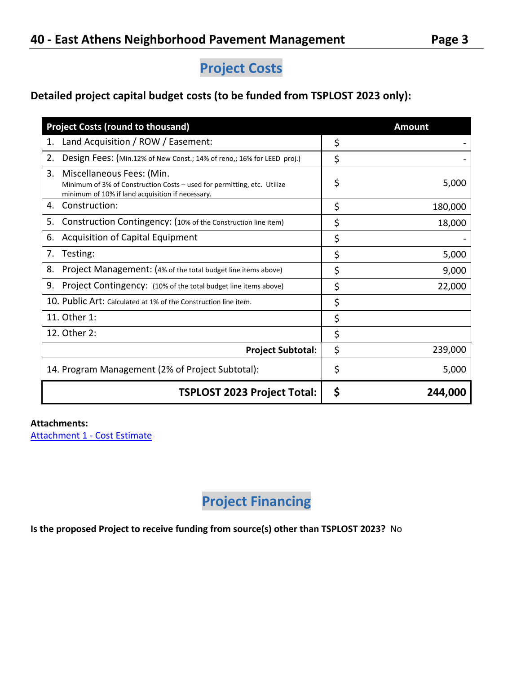## **Project Costs**

## **Detailed project capital budget costs (to be funded from TSPLOST 2023 only):**

| <b>Project Costs (round to thousand)</b>                                                                                                                       | <b>Amount</b> |
|----------------------------------------------------------------------------------------------------------------------------------------------------------------|---------------|
| Land Acquisition / ROW / Easement:<br>1.                                                                                                                       | \$            |
| 2.<br>Design Fees: (Min.12% of New Const.; 14% of reno,; 16% for LEED proj.)                                                                                   | \$            |
| 3.<br>Miscellaneous Fees: (Min.<br>Minimum of 3% of Construction Costs - used for permitting, etc. Utilize<br>minimum of 10% if land acquisition if necessary. | \$<br>5,000   |
| Construction:<br>4.                                                                                                                                            | \$<br>180,000 |
| Construction Contingency: (10% of the Construction line item)<br>5.                                                                                            | \$<br>18,000  |
| Acquisition of Capital Equipment<br>6.                                                                                                                         | \$            |
| Testing:<br>7.                                                                                                                                                 | \$<br>5,000   |
| Project Management: (4% of the total budget line items above)<br>8.                                                                                            | \$<br>9,000   |
| 9.<br>Project Contingency: (10% of the total budget line items above)                                                                                          | \$<br>22,000  |
| 10. Public Art: Calculated at 1% of the Construction line item.                                                                                                | \$            |
| 11. Other 1:                                                                                                                                                   | \$            |
| 12. Other 2:                                                                                                                                                   | \$            |
| <b>Project Subtotal:</b>                                                                                                                                       | \$<br>239,000 |
| 14. Program Management (2% of Project Subtotal):                                                                                                               | \$<br>5,000   |
| <b>TSPLOST 2023 Project Total:</b>                                                                                                                             | \$<br>244,000 |

### **Attachments:**

[Attachment 1 -](https://s3.amazonaws.com/files.formstack.com/uploads/4416721/111256937/847384946/111256937_2021.08.14-east_athens_neighborhood_pavement_mgmt_cost.pdf) Cost Estimate

# **Project Financing**

**Is the proposed Project to receive funding from source(s) other than TSPLOST 2023?** No